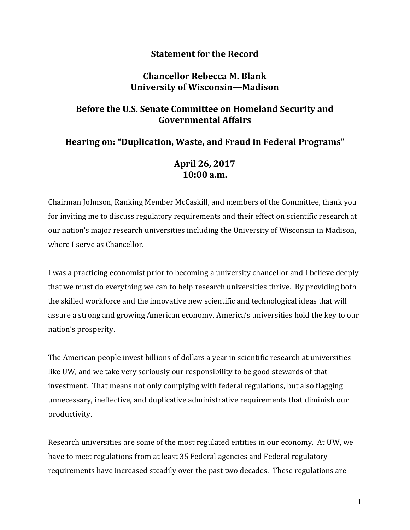## **Statement for the Record**

## **Chancellor Rebecca M. Blank University of Wisconsin—Madison**

## **Before the U.S. Senate Committee on Homeland Security and Governmental Affairs**

### **Hearing on: "Duplication, Waste, and Fraud in Federal Programs"**

## **April 26, 2017 10:00 a.m.**

Chairman Johnson, Ranking Member McCaskill, and members of the Committee, thank you for inviting me to discuss regulatory requirements and their effect on scientific research at our nation's major research universities including the University of Wisconsin in Madison, where I serve as Chancellor.

I was a practicing economist prior to becoming a university chancellor and I believe deeply that we must do everything we can to help research universities thrive. By providing both the skilled workforce and the innovative new scientific and technological ideas that will assure a strong and growing American economy, America's universities hold the key to our nation's prosperity.

The American people invest billions of dollars a year in scientific research at universities like UW, and we take very seriously our responsibility to be good stewards of that investment. That means not only complying with federal regulations, but also flagging unnecessary, ineffective, and duplicative administrative requirements that diminish our productivity.

Research universities are some of the most regulated entities in our economy. At UW, we have to meet regulations from at least 35 Federal agencies and Federal regulatory requirements have increased steadily over the past two decades. These regulations are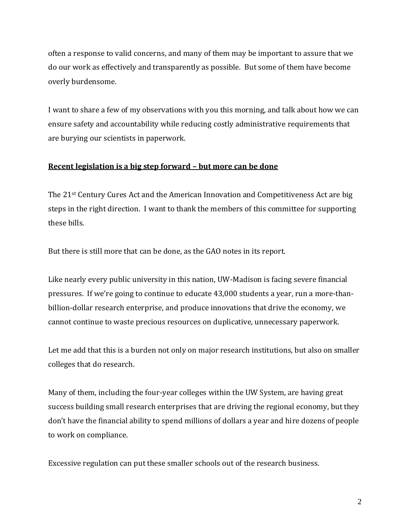often a response to valid concerns, and many of them may be important to assure that we do our work as effectively and transparently as possible. But some of them have become overly burdensome.

I want to share a few of my observations with you this morning, and talk about how we can ensure safety and accountability while reducing costly administrative requirements that are burying our scientists in paperwork.

#### **Recent legislation is a big step forward – but more can be done**

The 21st Century Cures Act and the American Innovation and Competitiveness Act are big steps in the right direction. I want to thank the members of this committee for supporting these bills.

But there is still more that can be done, as the GAO notes in its report.

Like nearly every public university in this nation, UW-Madison is facing severe financial pressures. If we're going to continue to educate 43,000 students a year, run a more-thanbillion-dollar research enterprise, and produce innovations that drive the economy, we cannot continue to waste precious resources on duplicative, unnecessary paperwork.

Let me add that this is a burden not only on major research institutions, but also on smaller colleges that do research.

Many of them, including the four-year colleges within the UW System, are having great success building small research enterprises that are driving the regional economy, but they don't have the financial ability to spend millions of dollars a year and hire dozens of people to work on compliance.

Excessive regulation can put these smaller schools out of the research business.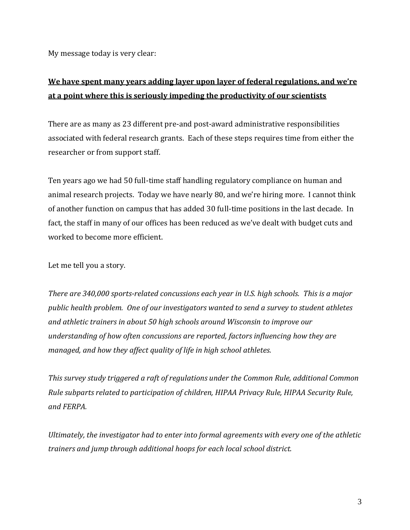My message today is very clear:

# **We have spent many years adding layer upon layer of federal regulations, and we're at a point where this is seriously impeding the productivity of our scientists**

There are as many as 23 different pre-and post-award administrative responsibilities associated with federal research grants. Each of these steps requires time from either the researcher or from support staff.

Ten years ago we had 50 full-time staff handling regulatory compliance on human and animal research projects. Today we have nearly 80, and we're hiring more. I cannot think of another function on campus that has added 30 full-time positions in the last decade. In fact, the staff in many of our offices has been reduced as we've dealt with budget cuts and worked to become more efficient.

Let me tell you a story.

*There are 340,000 sports-related concussions each year in U.S. high schools. This is a major public health problem. One of our investigators wanted to send a survey to student athletes and athletic trainers in about 50 high schools around Wisconsin to improve our understanding of how often concussions are reported, factors influencing how they are managed, and how they affect quality of life in high school athletes.*

*This survey study triggered a raft of regulations under the Common Rule, additional Common Rule subparts related to participation of children, HIPAA Privacy Rule, HIPAA Security Rule, and FERPA.*

*Ultimately, the investigator had to enter into formal agreements with every one of the athletic trainers and jump through additional hoops for each local school district.*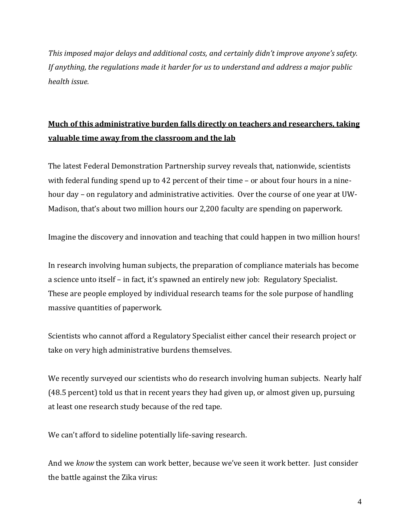*This imposed major delays and additional costs, and certainly didn't improve anyone's safety. If anything, the regulations made it harder for us to understand and address a major public health issue.* 

# **Much of this administrative burden falls directly on teachers and researchers, taking valuable time away from the classroom and the lab**

The latest Federal Demonstration Partnership survey reveals that, nationwide, scientists with federal funding spend up to 42 percent of their time – or about four hours in a ninehour day – on regulatory and administrative activities. Over the course of one year at UW-Madison, that's about two million hours our 2,200 faculty are spending on paperwork.

Imagine the discovery and innovation and teaching that could happen in two million hours!

In research involving human subjects, the preparation of compliance materials has become a science unto itself – in fact, it's spawned an entirely new job: Regulatory Specialist. These are people employed by individual research teams for the sole purpose of handling massive quantities of paperwork.

Scientists who cannot afford a Regulatory Specialist either cancel their research project or take on very high administrative burdens themselves.

We recently surveyed our scientists who do research involving human subjects. Nearly half (48.5 percent) told us that in recent years they had given up, or almost given up, pursuing at least one research study because of the red tape.

We can't afford to sideline potentially life-saving research.

And we *know* the system can work better, because we've seen it work better. Just consider the battle against the Zika virus: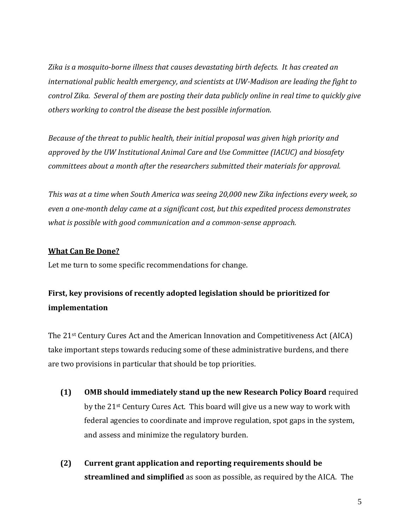*Zika is a mosquito-borne illness that causes devastating birth defects. It has created an international public health emergency, and scientists at UW-Madison are leading the fight to control Zika. Several of them are posting their data publicly online in real time to quickly give others working to control the disease the best possible information.* 

*Because of the threat to public health, their initial proposal was given high priority and approved by the UW Institutional Animal Care and Use Committee (IACUC) and biosafety committees about a month after the researchers submitted their materials for approval.* 

*This was at a time when South America was seeing 20,000 new Zika infections every week, so even a one-month delay came at a significant cost, but this expedited process demonstrates what is possible with good communication and a common-sense approach.* 

### **What Can Be Done?**

Let me turn to some specific recommendations for change.

# **First, key provisions of recently adopted legislation should be prioritized for implementation**

The 21st Century Cures Act and the American Innovation and Competitiveness Act (AICA) take important steps towards reducing some of these administrative burdens, and there are two provisions in particular that should be top priorities.

- **(1) OMB should immediately stand up the new Research Policy Board** required by the 21st Century Cures Act. This board will give us a new way to work with federal agencies to coordinate and improve regulation, spot gaps in the system, and assess and minimize the regulatory burden.
- **(2) Current grant application and reporting requirements should be streamlined and simplified** as soon as possible, as required by the AICA. The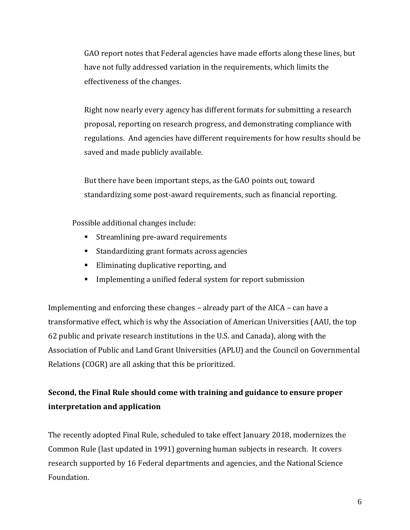GAO report notes that Federal agencies have made efforts along these lines, but have not fully addressed variation in the requirements, which limits the effectiveness of the changes.

Right now nearly every agency has different formats for submitting a research proposal, reporting on research progress, and demonstrating compliance with regulations. And agencies have different requirements for how results should be saved and made publicly available.

But there have been important steps, as the GAO points out, toward standardizing some post-award requirements, such as financial reporting.

Possible additional changes include:

- Streamlining pre-award requirements
- Standardizing grant formats across agencies
- Eliminating duplicative reporting, and
- **EXECT** Implementing a unified federal system for report submission

Implementing and enforcing these changes – already part of the AICA – can have a transformative effect, which is why the Association of American Universities (AAU, the top 62 public and private research institutions in the U.S. and Canada), along with the Association of Public and Land Grant Universities (APLU) and the Council on Governmental Relations (COGR) are all asking that this be prioritized.

## **Second, the Final Rule should come with training and guidance to ensure proper interpretation and application**

The recently adopted Final Rule, scheduled to take effect January 2018, modernizes the Common Rule (last updated in 1991) governing human subjects in research. It covers research supported by 16 Federal departments and agencies, and the National Science Foundation.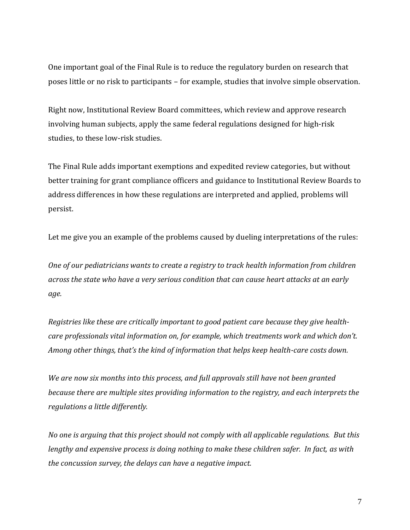One important goal of the Final Rule is to reduce the regulatory burden on research that poses little or no risk to participants – for example, studies that involve simple observation.

Right now, Institutional Review Board committees, which review and approve research involving human subjects, apply the same federal regulations designed for high-risk studies, to these low-risk studies.

The Final Rule adds important exemptions and expedited review categories, but without better training for grant compliance officers and guidance to Institutional Review Boards to address differences in how these regulations are interpreted and applied, problems will persist.

Let me give you an example of the problems caused by dueling interpretations of the rules:

*One of our pediatricians wants to create a registry to track health information from children across the state who have a very serious condition that can cause heart attacks at an early age.* 

*Registries like these are critically important to good patient care because they give healthcare professionals vital information on, for example, which treatments work and which don't. Among other things, that's the kind of information that helps keep health-care costs down.* 

*We are now six months into this process, and full approvals still have not been granted because there are multiple sites providing information to the registry, and each interprets the regulations a little differently.* 

*No one is arguing that this project should not comply with all applicable regulations. But this lengthy and expensive process is doing nothing to make these children safer. In fact, as with the concussion survey, the delays can have a negative impact.*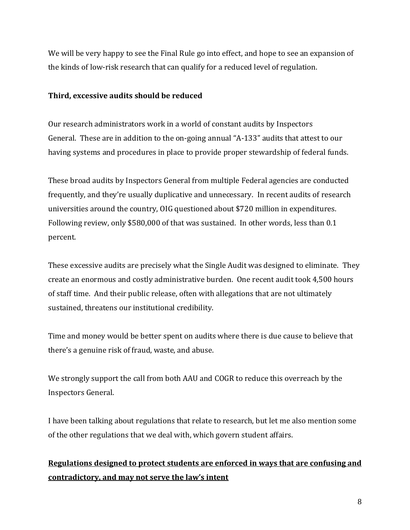We will be very happy to see the Final Rule go into effect, and hope to see an expansion of the kinds of low-risk research that can qualify for a reduced level of regulation.

### **Third, excessive audits should be reduced**

Our research administrators work in a world of constant audits by Inspectors General. These are in addition to the on-going annual "A-133" audits that attest to our having systems and procedures in place to provide proper stewardship of federal funds.

These broad audits by Inspectors General from multiple Federal agencies are conducted frequently, and they're usually duplicative and unnecessary. In recent audits of research universities around the country, OIG questioned about \$720 million in expenditures. Following review, only \$580,000 of that was sustained. In other words, less than 0.1 percent.

These excessive audits are precisely what the Single Audit was designed to eliminate. They create an enormous and costly administrative burden. One recent audit took 4,500 hours of staff time. And their public release, often with allegations that are not ultimately sustained, threatens our institutional credibility.

Time and money would be better spent on audits where there is due cause to believe that there's a genuine risk of fraud, waste, and abuse.

We strongly support the call from both AAU and COGR to reduce this overreach by the Inspectors General.

I have been talking about regulations that relate to research, but let me also mention some of the other regulations that we deal with, which govern student affairs.

## **Regulations designed to protect students are enforced in ways that are confusing and contradictory, and may not serve the law's intent**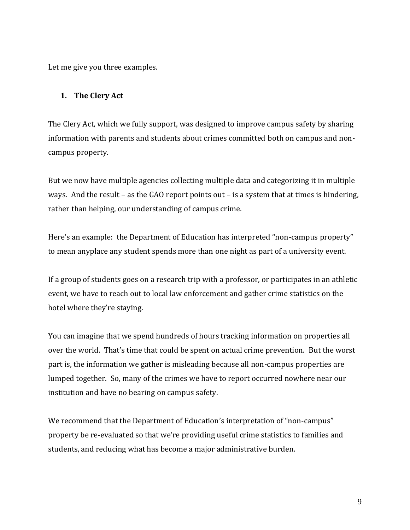Let me give you three examples.

#### **1. The Clery Act**

The Clery Act, which we fully support, was designed to improve campus safety by sharing information with parents and students about crimes committed both on campus and noncampus property.

But we now have multiple agencies collecting multiple data and categorizing it in multiple ways. And the result – as the GAO report points out – is a system that at times is hindering, rather than helping, our understanding of campus crime.

Here's an example: the Department of Education has interpreted "non-campus property" to mean anyplace any student spends more than one night as part of a university event.

If a group of students goes on a research trip with a professor, or participates in an athletic event, we have to reach out to local law enforcement and gather crime statistics on the hotel where they're staying.

You can imagine that we spend hundreds of hours tracking information on properties all over the world. That's time that could be spent on actual crime prevention. But the worst part is, the information we gather is misleading because all non-campus properties are lumped together. So, many of the crimes we have to report occurred nowhere near our institution and have no bearing on campus safety.

We recommend that the Department of Education's interpretation of "non-campus" property be re-evaluated so that we're providing useful crime statistics to families and students, and reducing what has become a major administrative burden.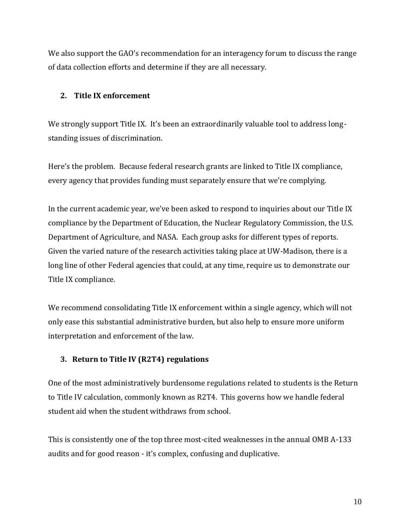We also support the GAO's recommendation for an interagency forum to discuss the range of data collection efforts and determine if they are all necessary.

#### **2. Title IX enforcement**

We strongly support Title IX. It's been an extraordinarily valuable tool to address longstanding issues of discrimination.

Here's the problem. Because federal research grants are linked to Title IX compliance, every agency that provides funding must separately ensure that we're complying.

In the current academic year, we've been asked to respond to inquiries about our Title IX compliance by the Department of Education, the Nuclear Regulatory Commission, the U.S. Department of Agriculture, and NASA. Each group asks for different types of reports. Given the varied nature of the research activities taking place at UW-Madison, there is a long line of other Federal agencies that could, at any time, require us to demonstrate our Title IX compliance.

We recommend consolidating Title IX enforcement within a single agency, which will not only ease this substantial administrative burden, but also help to ensure more uniform interpretation and enforcement of the law.

#### **3. Return to Title IV (R2T4) regulations**

One of the most administratively burdensome regulations related to students is the Return to Title IV calculation, commonly known as R2T4. This governs how we handle federal student aid when the student withdraws from school.

This is consistently one of the top three most-cited weaknesses in the annual OMB A-133 audits and for good reason - it's complex, confusing and duplicative.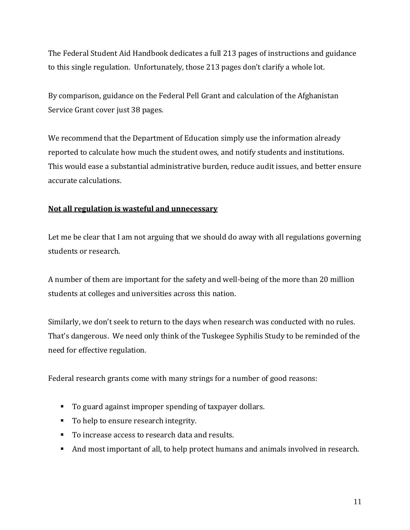The Federal Student Aid Handbook dedicates a full 213 pages of instructions and guidance to this single regulation. Unfortunately, those 213 pages don't clarify a whole lot.

By comparison, guidance on the Federal Pell Grant and calculation of the Afghanistan Service Grant cover just 38 pages.

We recommend that the Department of Education simply use the information already reported to calculate how much the student owes, and notify students and institutions. This would ease a substantial administrative burden, reduce audit issues, and better ensure accurate calculations.

### **Not all regulation is wasteful and unnecessary**

Let me be clear that I am not arguing that we should do away with all regulations governing students or research.

A number of them are important for the safety and well-being of the more than 20 million students at colleges and universities across this nation.

Similarly, we don't seek to return to the days when research was conducted with no rules. That's dangerous. We need only think of the Tuskegee Syphilis Study to be reminded of the need for effective regulation.

Federal research grants come with many strings for a number of good reasons:

- To guard against improper spending of taxpayer dollars.
- To help to ensure research integrity.
- To increase access to research data and results.
- And most important of all, to help protect humans and animals involved in research.